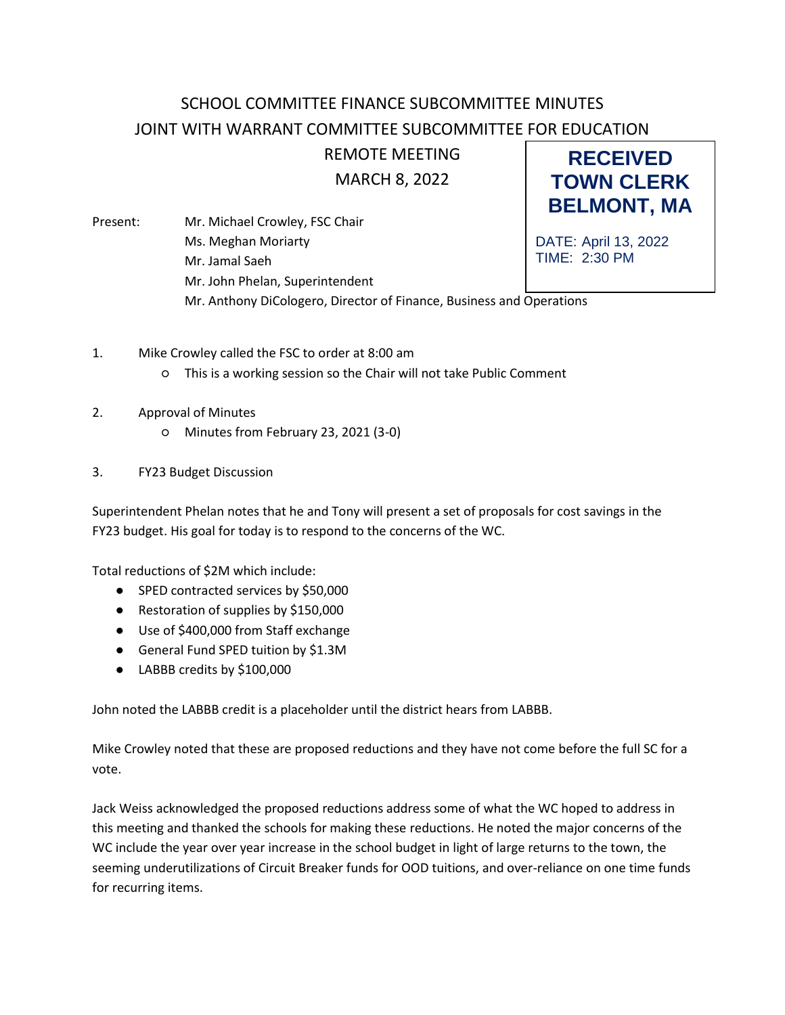## SCHOOL COMMITTEE FINANCE SUBCOMMITTEE MINUTES JOINT WITH WARRANT COMMITTEE SUBCOMMITTEE FOR EDUCATION

## REMOTE MEETING

**RECEIVED TOWN CLERK**

MARCH 8, 2022

**BELMONT, MA** DATE: April 13, 2022 TIME: 2:30 PM Present: Mr. Michael Crowley, FSC Chair Ms. Meghan Moriarty Mr. Jamal Saeh Mr. John Phelan, Superintendent Mr. Anthony DiCologero, Director of Finance, Business and Operations

- 1. Mike Crowley called the FSC to order at 8:00 am
	- This is a working session so the Chair will not take Public Comment
- 2. Approval of Minutes
	- Minutes from February 23, 2021 (3-0)
- 3. FY23 Budget Discussion

Superintendent Phelan notes that he and Tony will present a set of proposals for cost savings in the FY23 budget. His goal for today is to respond to the concerns of the WC.

Total reductions of \$2M which include:

- SPED contracted services by \$50,000
- Restoration of supplies by \$150,000
- Use of \$400,000 from Staff exchange
- General Fund SPED tuition by \$1.3M
- LABBB credits by \$100,000

John noted the LABBB credit is a placeholder until the district hears from LABBB.

Mike Crowley noted that these are proposed reductions and they have not come before the full SC for a vote.

Jack Weiss acknowledged the proposed reductions address some of what the WC hoped to address in this meeting and thanked the schools for making these reductions. He noted the major concerns of the WC include the year over year increase in the school budget in light of large returns to the town, the seeming underutilizations of Circuit Breaker funds for OOD tuitions, and over-reliance on one time funds for recurring items.